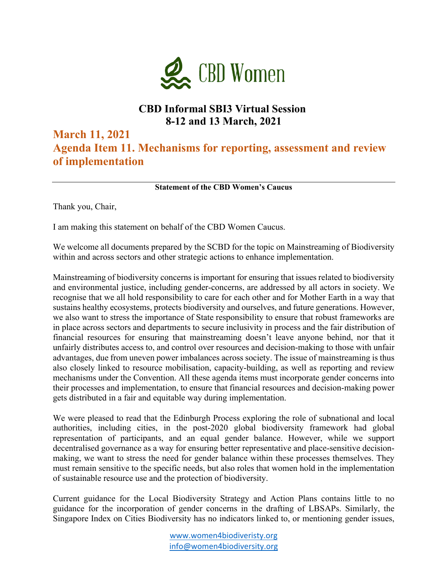

## **CBD Informal SBI3 Virtual Session 8-12 and 13 March, 2021**

## **March 11, 2021**

**Agenda Item 11. Mechanisms for reporting, assessment and review of implementation**

**Statement of the CBD Women's Caucus**

Thank you, Chair,

I am making this statement on behalf of the CBD Women Caucus.

We welcome all documents prepared by the SCBD for the topic on Mainstreaming of Biodiversity within and across sectors and other strategic actions to enhance implementation.

Mainstreaming of biodiversity concerns is important for ensuring that issues related to biodiversity and environmental justice, including gender-concerns, are addressed by all actors in society. We recognise that we all hold responsibility to care for each other and for Mother Earth in a way that sustains healthy ecosystems, protects biodiversity and ourselves, and future generations. However, we also want to stress the importance of State responsibility to ensure that robust frameworks are in place across sectors and departments to secure inclusivity in process and the fair distribution of financial resources for ensuring that mainstreaming doesn't leave anyone behind, nor that it unfairly distributes access to, and control over resources and decision-making to those with unfair advantages, due from uneven power imbalances across society. The issue of mainstreaming is thus also closely linked to resource mobilisation, capacity-building, as well as reporting and review mechanisms under the Convention. All these agenda items must incorporate gender concerns into their processes and implementation, to ensure that financial resources and decision-making power gets distributed in a fair and equitable way during implementation.

We were pleased to read that the Edinburgh Process exploring the role of subnational and local authorities, including cities, in the post-2020 global biodiversity framework had global representation of participants, and an equal gender balance. However, while we support decentralised governance as a way for ensuring better representative and place-sensitive decisionmaking, we want to stress the need for gender balance within these processes themselves. They must remain sensitive to the specific needs, but also roles that women hold in the implementation of sustainable resource use and the protection of biodiversity.

Current guidance for the Local Biodiversity Strategy and Action Plans contains little to no guidance for the incorporation of gender concerns in the drafting of LBSAPs. Similarly, the Singapore Index on Cities Biodiversity has no indicators linked to, or mentioning gender issues,